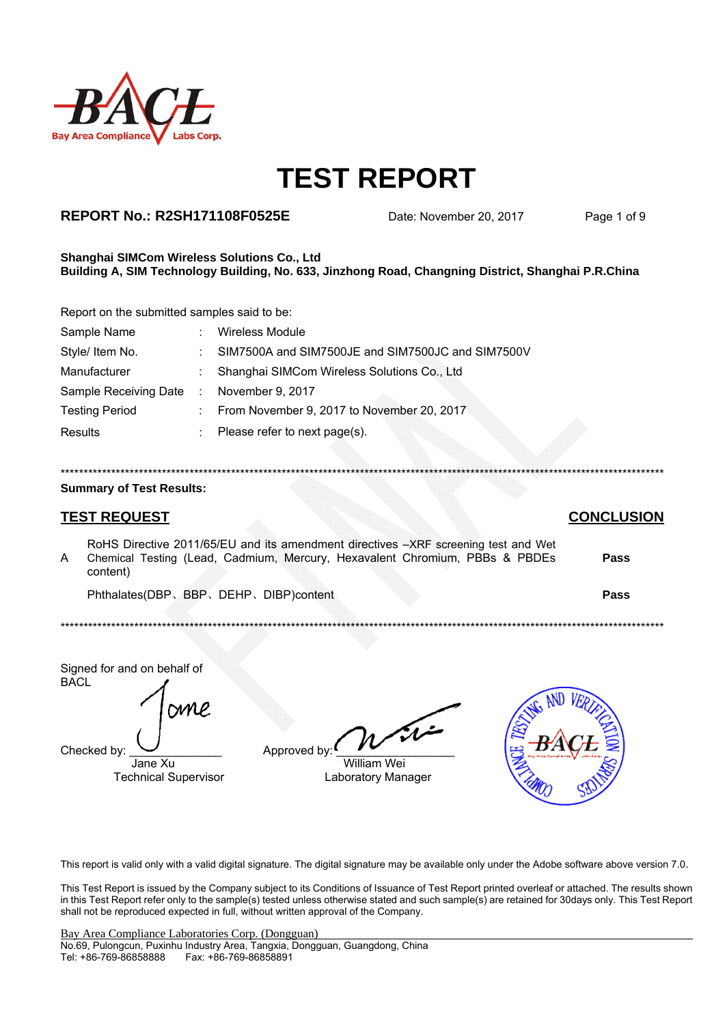

## **REPORT No.: R2SH171108F0525E**

Date: November 20, 2017

Page 1 of 9

#### Shanghai SIMCom Wireless Solutions Co., Ltd Building A, SIM Technology Building, No. 633, Jinzhong Road, Changning District, Shanghai P.R.China

Report on the submitted samples said to be:

| Sample Name           | ۰. | <b>Wireless Module</b>                            |
|-----------------------|----|---------------------------------------------------|
| Style/ Item No.       |    | SIM7500A and SIM7500JE and SIM7500JC and SIM7500V |
| Manufacturer          |    | Shanghai SIMCom Wireless Solutions Co., Ltd       |
| Sample Receiving Date | ÷  | November 9, 2017                                  |
| <b>Testing Period</b> |    | : From November 9, 2017 to November 20, 2017      |
| Results               |    | Please refer to next page(s).                     |

### **Summary of Test Results:**

## **TEST REQUEST**

RoHS Directive 2011/65/EU and its amendment directives -XRF screening test and Wet Chemical Testing (Lead, Cadmium, Mercury, Hexavalent Chromium, PBBs & PBDEs  $\overline{A}$ Pass content) Phthalates(DBP、BBP、DEHP、DIBP)content Pass

Signed for and on behalf of **BACL** 

**SM** 

Checked by

Jane Xu **Technical Supervisor** 

| Approved by: ┗ |  |
|----------------|--|

**William Wei** Laboratory Manager



This report is valid only with a valid digital signature. The digital signature may be available only under the Adobe software above version 7.0.

This Test Report is issued by the Company subject to its Conditions of Issuance of Test Report printed overleaf or attached. The results shown in this Test Report refer only to the sample(s) tested unless otherwise stated and such sample(s) are retained for 30days only. This Test Report shall not be reproduced expected in full, without written approval of the Company.

### **CONCLUSION**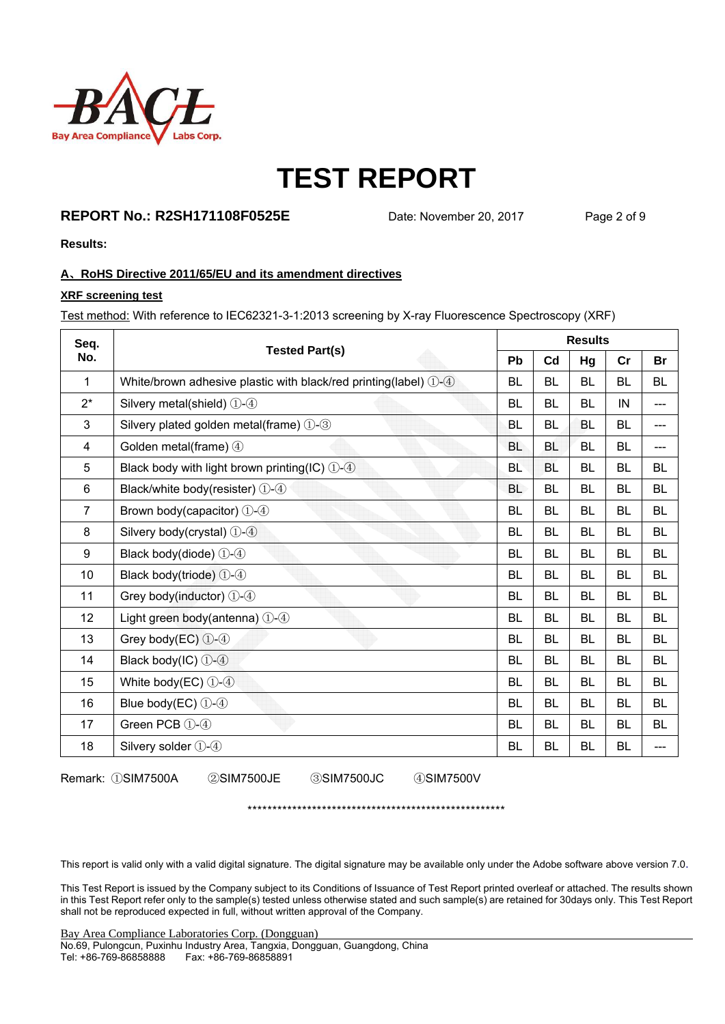

## **REPORT No.: R2SH171108F0525E** Date: November 20, 2017 Page 2 of 9

**Results:** 

### **A**、**RoHS Directive 2011/65/EU and its amendment directives**

#### **XRF screening test**

Test method: With reference to IEC62321-3-1:2013 screening by X-ray Fluorescence Spectroscopy (XRF)

| Seq.           | <b>Tested Part(s)</b>                                               | <b>Results</b> |           |           |           |           |  |
|----------------|---------------------------------------------------------------------|----------------|-----------|-----------|-----------|-----------|--|
| No.            |                                                                     | Pb             | Cd        | Hg        | cr        | <b>Br</b> |  |
| 1              | White/brown adhesive plastic with black/red printing(label) $(1-4)$ | <b>BL</b>      | <b>BL</b> | <b>BL</b> | <b>BL</b> | <b>BL</b> |  |
| $2^*$          | Silvery metal(shield) $(1)$ - $(4)$                                 | <b>BL</b>      | <b>BL</b> | <b>BL</b> | IN        | ---       |  |
| 3              | Silvery plated golden metal(frame) 1-3                              | <b>BL</b>      | <b>BL</b> | BL        | <b>BL</b> | ---       |  |
| 4              | Golden metal(frame) 4                                               | <b>BL</b>      | <b>BL</b> | BL        | <b>BL</b> | ---       |  |
| 5              | Black body with light brown printing(IC) $(1)$ -4                   | <b>BL</b>      | <b>BL</b> | <b>BL</b> | <b>BL</b> | BL        |  |
| 6              | Black/white body(resister) 1-4                                      | <b>BL</b>      | <b>BL</b> | <b>BL</b> | <b>BL</b> | <b>BL</b> |  |
| $\overline{7}$ | Brown body(capacitor) 1-4                                           | <b>BL</b>      | <b>BL</b> | <b>BL</b> | <b>BL</b> | <b>BL</b> |  |
| 8              | Silvery body(crystal) 1-4                                           | <b>BL</b>      | <b>BL</b> | <b>BL</b> | <b>BL</b> | <b>BL</b> |  |
| 9              | Black body(diode) 1-4                                               | <b>BL</b>      | <b>BL</b> | <b>BL</b> | <b>BL</b> | <b>BL</b> |  |
| 10             | Black body(triode) 1-4                                              | <b>BL</b>      | <b>BL</b> | BL        | <b>BL</b> | <b>BL</b> |  |
| 11             | Grey body(inductor) 1-4                                             | <b>BL</b>      | <b>BL</b> | BL        | <b>BL</b> | <b>BL</b> |  |
| 12             | Light green body(antenna) 1-4                                       | <b>BL</b>      | <b>BL</b> | <b>BL</b> | <b>BL</b> | <b>BL</b> |  |
| 13             | Grey body(EC) $(1-4)$                                               | <b>BL</b>      | <b>BL</b> | <b>BL</b> | <b>BL</b> | <b>BL</b> |  |
| 14             | Black body(IC) 1-4                                                  | <b>BL</b>      | <b>BL</b> | <b>BL</b> | <b>BL</b> | <b>BL</b> |  |
| 15             | White body(EC) $(1-4)$                                              | <b>BL</b>      | <b>BL</b> | <b>BL</b> | <b>BL</b> | <b>BL</b> |  |
| 16             | Blue body(EC) $(1-4)$                                               | <b>BL</b>      | <b>BL</b> | <b>BL</b> | <b>BL</b> | <b>BL</b> |  |
| 17             | Green PCB (1)-(4)                                                   | <b>BL</b>      | <b>BL</b> | <b>BL</b> | <b>BL</b> | <b>BL</b> |  |
| 18             | Silvery solder 1-4                                                  | <b>BL</b>      | <b>BL</b> | <b>BL</b> | <b>BL</b> | ---       |  |

Remark: ①SIM7500A ②SIM7500JE ③SIM7500JC ④SIM7500V

This report is valid only with a valid digital signature. The digital signature may be available only under the Adobe software above version 7.0.

\*\*\*\*\*\*\*\*\*\*\*\*\*\*\*\*\*\*\*\*\*\*\*\*\*\*\*\*\*\*\*\*\*\*\*\*\*\*\*\*\*\*\*\*\*\*\*\*\*\*\*\*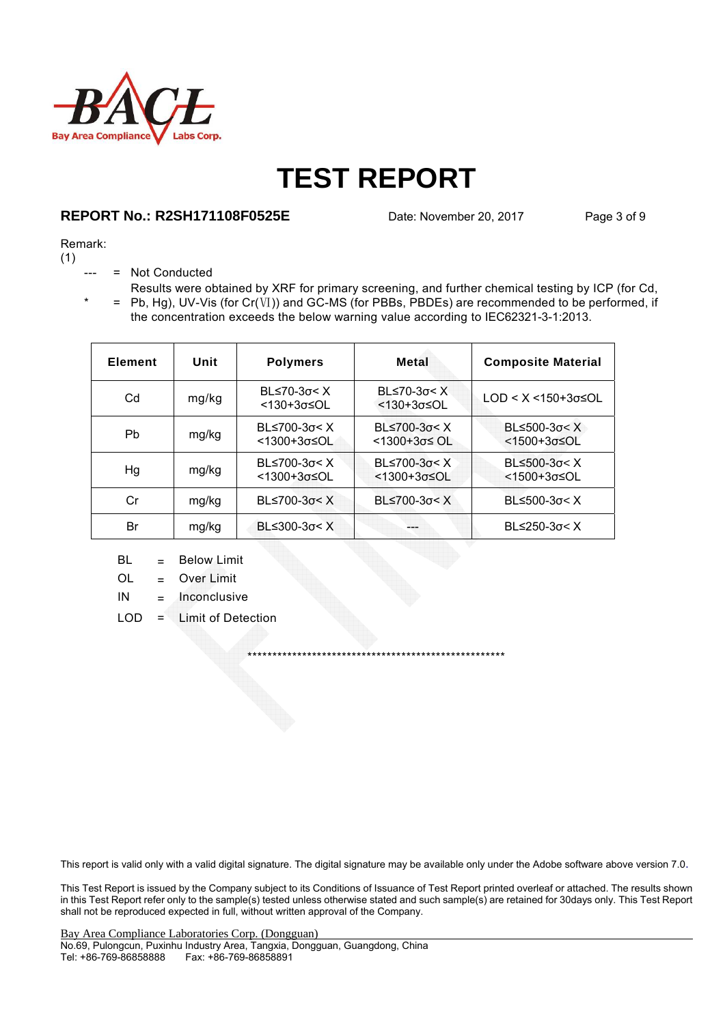

## **REPORT No.: R2SH171108F0525E** Date: November 20, 2017 Page 3 of 9

### Remark:

(1)

- = Not Conducted
- $* = Pb, Hg$ , UV-Vis (for Cr(Ⅵ)) and GC-MS (for PBBs, PBDEs) are recommended to be performed, if Results were obtained by XRF for primary screening, and further chemical testing by ICP (for Cd, the concentration exceeds the below warning value according to IEC62321-3-1:2013.

| <b>Element</b> | Unit  | <b>Polymers</b>                        | Metal                                         | <b>Composite Material</b>                        |
|----------------|-------|----------------------------------------|-----------------------------------------------|--------------------------------------------------|
| Cd             | mg/kg | BL $\leq 70-3\sigma < X$<br><130+3σ≤OL | $BL≤70-3σ < X$<br>$<130+3\sigma \leq O L$     | $LOD < X < 150+3\sigma \leq OL$                  |
| Pb             | mg/kg | BL≤700-3σ< X<br><1300+3σ≤OL            | BL $\leq$ 700-3 $\sigma$ < X<br>$1300+3σ≤$ OL | BL $\leq$ 500-3 $\sigma$ < X<br>$<$ 1500+3σ≤OL   |
| Hg             | mg/kg | $BL≤700-3σ < X$<br><1300+3σ≤OL         | BL $\leq$ 700-3 $\sigma$ < X<br><1300+3σ≤OL   | $BL≤500-3σ < X$<br>$<$ 1500+3 $\sigma$ $\leq$ OL |
| Cr             | mg/kg | $BL≤700-3σ < X$                        | $B$ L≤700-3σ< X                               | $BL≤500-3σ < X$                                  |
| Br             | mg/kg | $B≤300-3σ < X$                         |                                               | BL $\leq$ 250-3 $\sigma$ < X                     |

- $BL = Below Limit$
- OL = Over Limit
- $IN = Inconclusive$
- LOD = Limit of Detection

This report is valid only with a valid digital signature. The digital signature may be available only under the Adobe software above version 7.0.

\*\*\*\*\*\*\*\*\*\*\*\*\*\*\*\*\*\*\*\*\*\*\*\*\*\*\*\*\*\*\*\*\*\*\*\*\*\*\*\*\*\*\*\*\*\*\*\*\*\*\*\*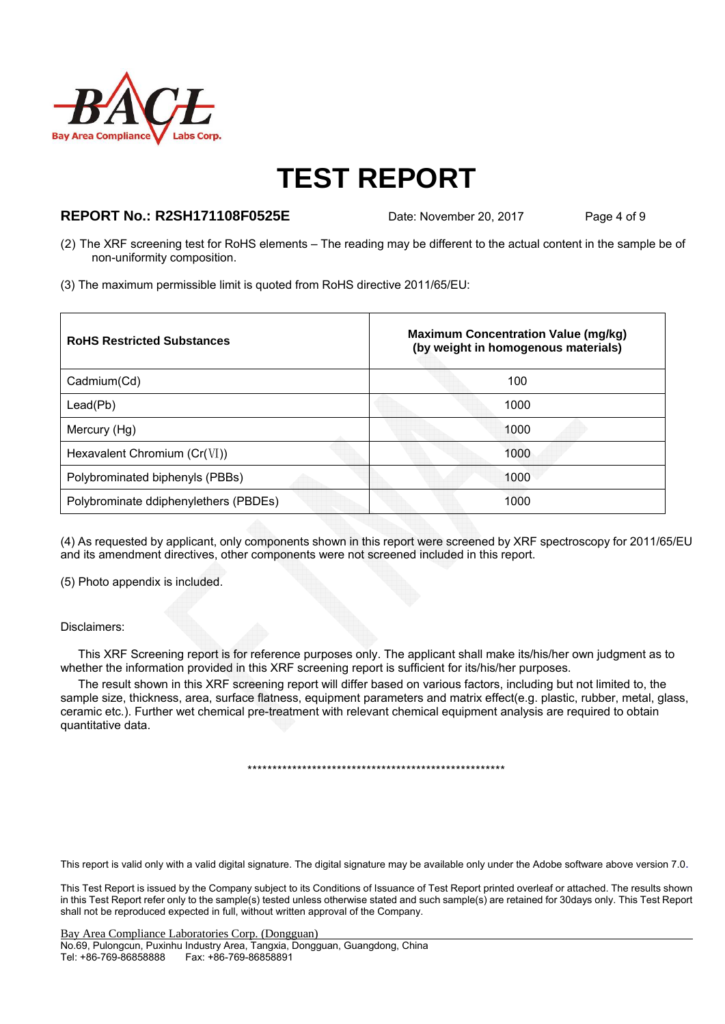

### **REPORT No.: R2SH171108F0525E** Date: November 20, 2017 Page 4 of 9

- (2) The XRF screening test for RoHS elements The reading may be different to the actual content in the sample be of non-uniformity composition.
- (3) The maximum permissible limit is quoted from RoHS directive 2011/65/EU:

| <b>RoHS Restricted Substances</b>     | <b>Maximum Concentration Value (mg/kg)</b><br>(by weight in homogenous materials) |
|---------------------------------------|-----------------------------------------------------------------------------------|
| Cadmium(Cd)                           | 100                                                                               |
| Lead(Pb)                              | 1000                                                                              |
| Mercury (Hg)                          | 1000                                                                              |
| Hexavalent Chromium $(Cr(VI))$        | 1000                                                                              |
| Polybrominated biphenyls (PBBs)       | 1000                                                                              |
| Polybrominate ddiphenylethers (PBDEs) | 1000                                                                              |

(4) As requested by applicant, only components shown in this report were screened by XRF spectroscopy for 2011/65/EU and its amendment directives, other components were not screened included in this report.

(5) Photo appendix is included.

### Disclaimers:

This XRF Screening report is for reference purposes only. The applicant shall make its/his/her own judgment as to whether the information provided in this XRF screening report is sufficient for its/his/her purposes.

The result shown in this XRF screening report will differ based on various factors, including but not limited to, the sample size, thickness, area, surface flatness, equipment parameters and matrix effect(e.g. plastic, rubber, metal, glass, ceramic etc.). Further wet chemical pre-treatment with relevant chemical equipment analysis are required to obtain quantitative data.

\*\*\*\*\*\*\*\*\*\*\*\*\*\*\*\*\*\*\*\*\*\*\*\*\*\*\*\*\*\*\*\*\*\*\*\*\*\*\*\*\*\*\*\*\*\*\*\*\*\*\*\*

This report is valid only with a valid digital signature. The digital signature may be available only under the Adobe software above version 7.0.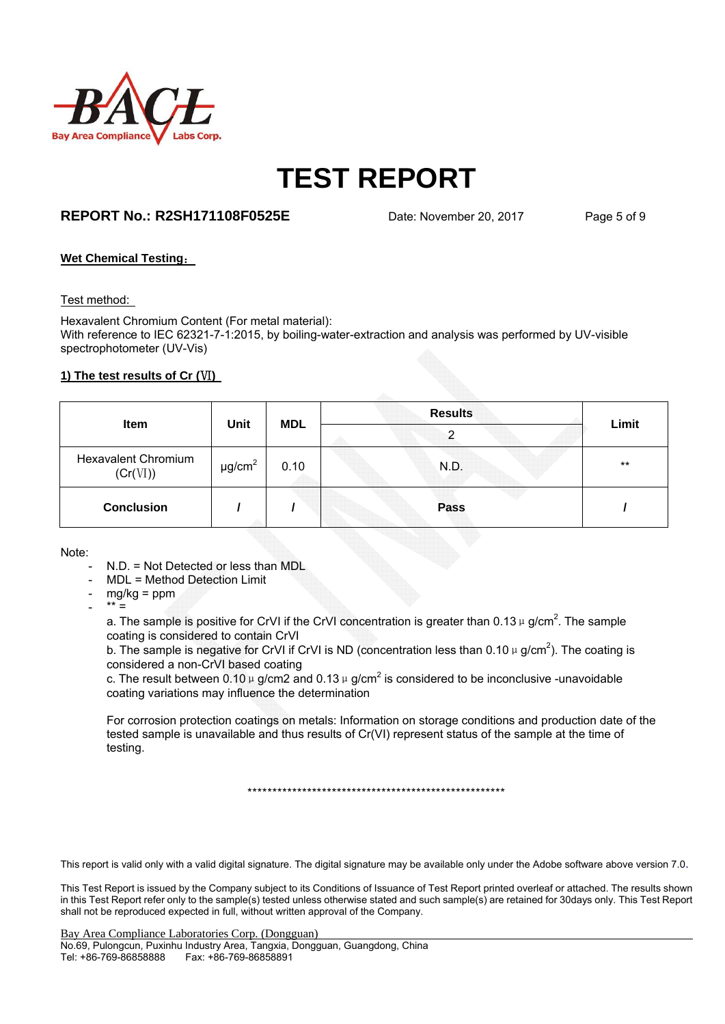

## **REPORT No.: R2SH171108F0525E** Date: November 20, 2017 Page 5 of 9

### **Wet Chemical Testing**:

#### Test method:

Hexavalent Chromium Content (For metal material): With reference to IEC 62321-7-1:2015, by boiling-water-extraction and analysis was performed by UV-visible spectrophotometer (UV-Vis)

### **1) The test results of Cr (VI)**

| <b>Item</b>                            |                         |            | <b>Results</b> |       |
|----------------------------------------|-------------------------|------------|----------------|-------|
|                                        | Unit                    | <b>MDL</b> | ົ              | Limit |
| <b>Hexavalent Chromium</b><br>(Cr(VI)) | $\mu$ g/cm <sup>2</sup> | 0.10       | N.D.           | $***$ |
| <b>Conclusion</b>                      |                         |            | <b>Pass</b>    |       |

Note:

- N.D. = Not Detected or less than MDL
- MDL = Method Detection Limit
- $mg/kg = ppm$
- $*** =$

a. The sample is positive for CrVI if the CrVI concentration is greater than 0.13  $\mu$  g/cm<sup>2</sup>. The sample coating is considered to contain CrVI

b. The sample is negative for CrVI if CrVI is ND (concentration less than 0.10  $\mu$  g/cm<sup>2</sup>). The coating is considered a non-CrVI based coating

c. The result between 0.10  $\mu$  g/cm2 and 0.13  $\mu$  g/cm<sup>2</sup> is considered to be inconclusive -unavoidable coating variations may influence the determination

For corrosion protection coatings on metals: Information on storage conditions and production date of the tested sample is unavailable and thus results of Cr(VI) represent status of the sample at the time of testing.

\*\*\*\*\*\*\*\*\*\*\*\*\*\*\*\*\*\*\*\*\*\*\*\*\*\*\*\*\*\*\*\*\*\*\*\*\*\*\*\*\*\*\*\*\*\*\*\*\*\*\*\*

This report is valid only with a valid digital signature. The digital signature may be available only under the Adobe software above version 7.0.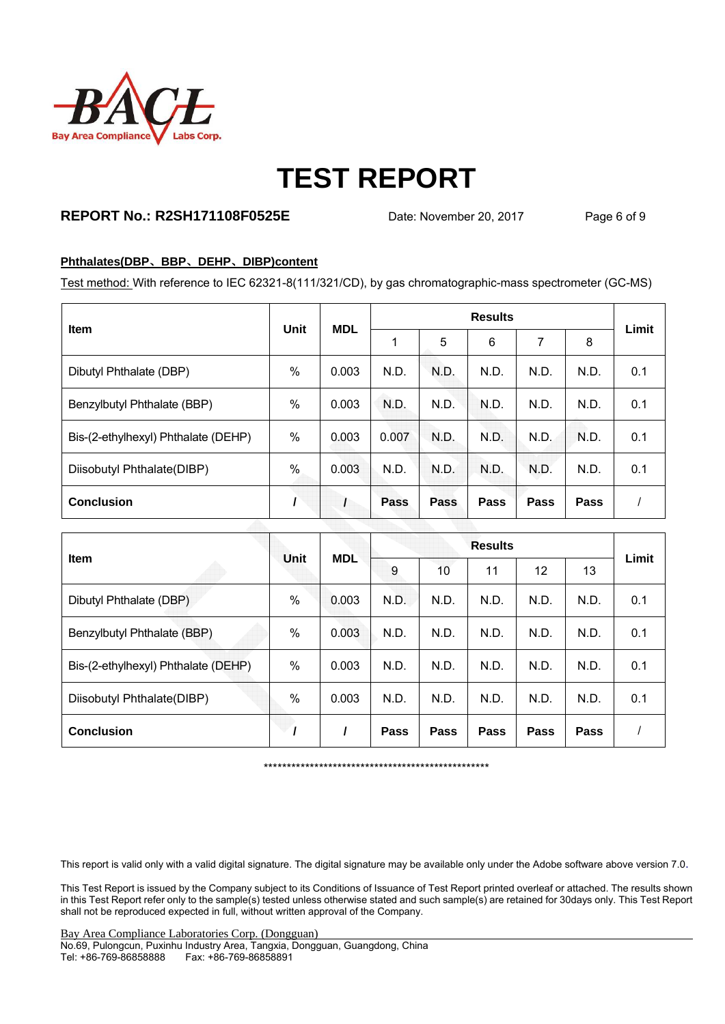

## **REPORT No.: R2SH171108F0525E** Date: November 20, 2017 Page 6 of 9

### **Phthalates(DBP**、**BBP**、**DEHP**、**DIBP)content**

Test method: With reference to IEC 62321-8(111/321/CD), by gas chromatographic-mass spectrometer (GC-MS)

| <b>Item</b>                         | Unit | <b>MDL</b> | <b>Results</b> |             |             |             |      | Limit |
|-------------------------------------|------|------------|----------------|-------------|-------------|-------------|------|-------|
|                                     |      |            | 1              | 5           | 6           | 7           | 8    |       |
| Dibutyl Phthalate (DBP)             | $\%$ | 0.003      | N.D.           | N.D.        | N.D.        | N.D.        | N.D. | 0.1   |
| Benzylbutyl Phthalate (BBP)         | $\%$ | 0.003      | N.D.           | N.D.        | N.D.        | N.D.        | N.D. | 0.1   |
| Bis-(2-ethylhexyl) Phthalate (DEHP) | $\%$ | 0.003      | 0.007          | N.D.        | N.D.        | N.D.        | N.D. | 0.1   |
| Diisobutyl Phthalate(DIBP)          | %    | 0.003      | N.D.           | N.D.        | N.D.        | N.D.        | N.D. | 0.1   |
| <b>Conclusion</b>                   |      |            | <b>Pass</b>    | <b>Pass</b> | <b>Pass</b> | <b>Pass</b> | Pass |       |

| <b>Item</b>                         | Unit | <b>MDL</b> | <b>Results</b> |      |             |      |             | Limit |
|-------------------------------------|------|------------|----------------|------|-------------|------|-------------|-------|
|                                     |      |            | 9              | 10   | 11          | 12   | 13          |       |
| Dibutyl Phthalate (DBP)             | %    | 0.003      | N.D.           | N.D. | N.D.        | N.D. | N.D.        | 0.1   |
| Benzylbutyl Phthalate (BBP)         | $\%$ | 0.003      | N.D.           | N.D. | N.D.        | N.D. | N.D.        | 0.1   |
| Bis-(2-ethylhexyl) Phthalate (DEHP) | $\%$ | 0.003      | N.D.           | N.D. | N.D.        | N.D. | N.D.        | 0.1   |
| Diisobutyl Phthalate(DIBP)          | %    | 0.003      | N.D.           | N.D. | N.D.        | N.D. | N.D.        | 0.1   |
| <b>Conclusion</b>                   |      |            | <b>Pass</b>    | Pass | <b>Pass</b> | Pass | <b>Pass</b> |       |

\*\*\*\*\*\*\*\*\*\*\*\*\*\*\*\*\*\*\*\*\*\*\*\*\*\*\*\*\*\*\*\*\*\*\*\*\*\*\*\*\*\*\*\*\*\*\*\*\*

This report is valid only with a valid digital signature. The digital signature may be available only under the Adobe software above version 7.0.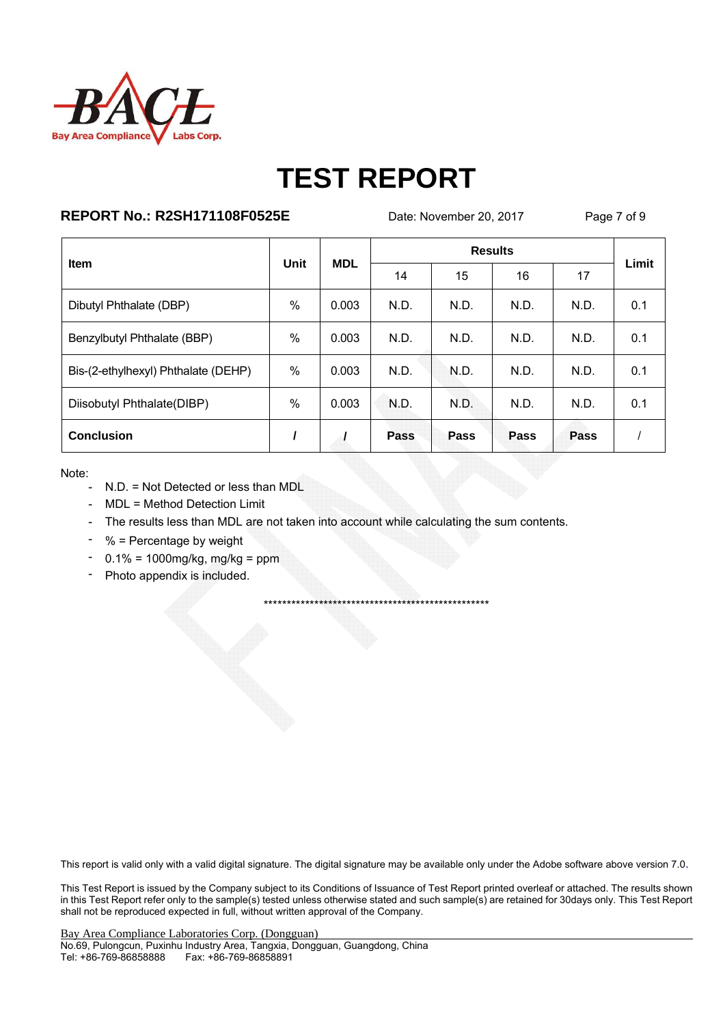

## **REPORT No.: R2SH171108F0525E**

Date: November 20, 2017

Page 7 of 9

| Item                                | <b>Unit</b> | <b>MDL</b> |      | Limit |      |      |     |
|-------------------------------------|-------------|------------|------|-------|------|------|-----|
|                                     |             |            | 14   | 15    | 16   | 17   |     |
| Dibutyl Phthalate (DBP)             | %           | 0.003      | N.D. | N.D.  | N.D. | N.D. | 0.1 |
| Benzylbutyl Phthalate (BBP)         | $\%$        | 0.003      | N.D. | N.D.  | N.D. | N.D. | 0.1 |
| Bis-(2-ethylhexyl) Phthalate (DEHP) | $\%$        | 0.003      | N.D. | N.D.  | N.D. | N.D. | 0.1 |
| Diisobutyl Phthalate(DIBP)          | %           | 0.003      | N.D. | N.D.  | N.D. | N.D. | 0.1 |
| <b>Conclusion</b>                   |             |            | Pass | Pass  | Pass | Pass |     |

Note:

- N.D. = Not Detected or less than MDL
- MDL = Method Detection Limit
- The results less than MDL are not taken into account while calculating the sum contents.
- % = Percentage by weight
- $-0.1\% = 1000$  mg/kg, mg/kg = ppm
- Photo appendix is included.  $\sim$

This report is valid only with a valid digital signature. The digital signature may be available only under the Adobe software above version 7.0.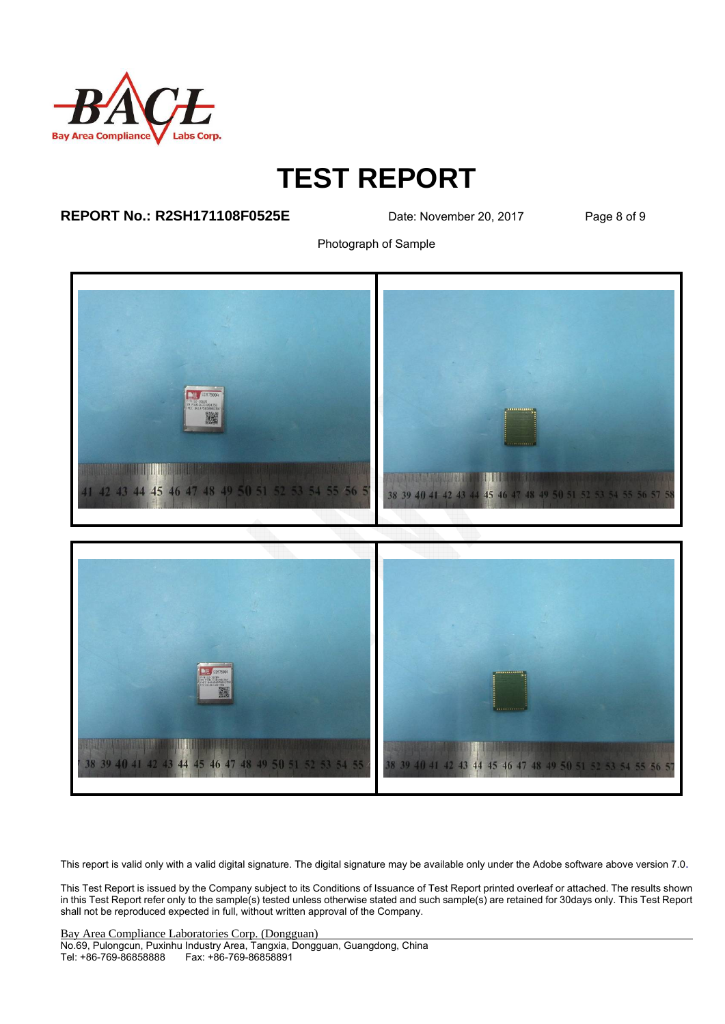

### **REPORT No.: R2SH171108F0525E** Date: November 20, 2017 Page 8 of 9

Photograph of Sample



This report is valid only with a valid digital signature. The digital signature may be available only under the Adobe software above version 7.0.